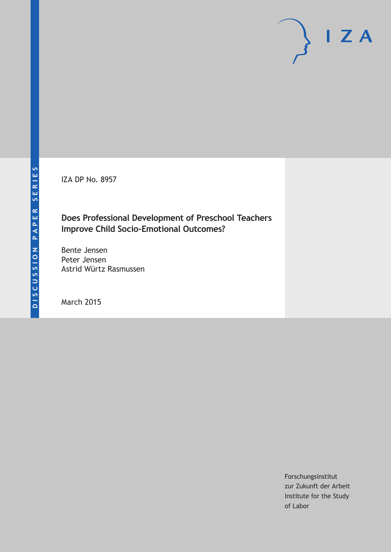IZA DP No. 8957

# **Does Professional Development of Preschool Teachers Improve Child Socio-Emotional Outcomes?**

Bente Jensen Peter Jensen Astrid Würtz Rasmussen

March 2015

Forschungsinstitut zur Zukunft der Arbeit Institute for the Study of Labor

 $I Z A$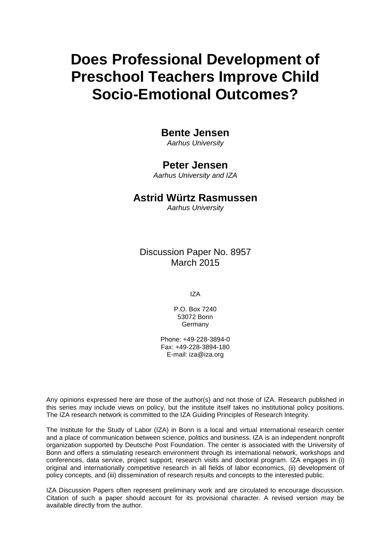# **Does Professional Development of Preschool Teachers Improve Child Socio-Emotional Outcomes?**

## **Bente Jensen**

*Aarhus University*

### **Peter Jensen**

*Aarhus University and IZA*

### **Astrid Würtz Rasmussen**

*Aarhus University*

Discussion Paper No. 8957 March 2015

IZA

P.O. Box 7240 53072 Bonn Germany

Phone: +49-228-3894-0 Fax: +49-228-3894-180 E-mail: iza@iza.org

Any opinions expressed here are those of the author(s) and not those of IZA. Research published in this series may include views on policy, but the institute itself takes no institutional policy positions. The IZA research network is committed to the IZA Guiding Principles of Research Integrity.

The Institute for the Study of Labor (IZA) in Bonn is a local and virtual international research center and a place of communication between science, politics and business. IZA is an independent nonprofit organization supported by Deutsche Post Foundation. The center is associated with the University of Bonn and offers a stimulating research environment through its international network, workshops and conferences, data service, project support, research visits and doctoral program. IZA engages in (i) original and internationally competitive research in all fields of labor economics, (ii) development of policy concepts, and (iii) dissemination of research results and concepts to the interested public.

<span id="page-1-0"></span>IZA Discussion Papers often represent preliminary work and are circulated to encourage discussion. Citation of such a paper should account for its provisional character. A revised version may be available directly from the author.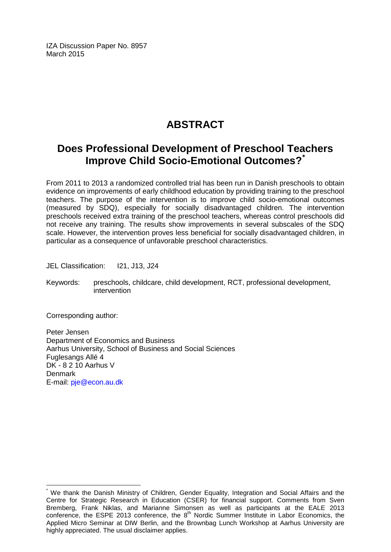IZA Discussion Paper No. 8957 March 2015

# **ABSTRACT**

# **Does Professional Development of Preschool Teachers Improve Child Socio-Emotional Outcomes?[\\*](#page-1-0)**

From 2011 to 2013 a randomized controlled trial has been run in Danish preschools to obtain evidence on improvements of early childhood education by providing training to the preschool teachers. The purpose of the intervention is to improve child socio-emotional outcomes (measured by SDQ), especially for socially disadvantaged children. The intervention preschools received extra training of the preschool teachers, whereas control preschools did not receive any training. The results show improvements in several subscales of the SDQ scale. However, the intervention proves less beneficial for socially disadvantaged children, in particular as a consequence of unfavorable preschool characteristics.

JEL Classification: I21, J13, J24

Keywords: preschools, childcare, child development, RCT, professional development, intervention

Corresponding author:

Peter Jensen Department of Economics and Business Aarhus University, School of Business and Social Sciences Fuglesangs Allé 4 DK - 8 2 10 Aarhus V **Denmark** E-mail: [pje@econ.au.dk](mailto:pje@econ.au.dk)

We thank the Danish Ministry of Children, Gender Equality, Integration and Social Affairs and the Centre for Strategic Research in Education (CSER) for financial support. Comments from Sven Bremberg, Frank Niklas, and Marianne Simonsen as well as participants at the EALE 2013 conference, the ESPE 2013 conference, the 8th Nordic Summer Institute in Labor Economics, the Applied Micro Seminar at DIW Berlin, and the Brownbag Lunch Workshop at Aarhus University are highly appreciated. The usual disclaimer applies.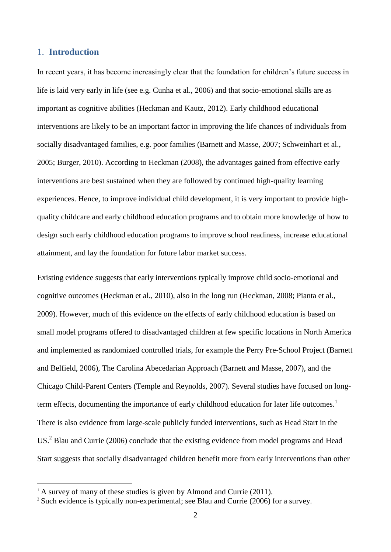#### 1. **Introduction**

1

In recent years, it has become increasingly clear that the foundation for children's future success in life is laid very early in life (see e.g. Cunha et al., 2006) and that socio-emotional skills are as important as cognitive abilities (Heckman and Kautz, 2012). Early childhood educational interventions are likely to be an important factor in improving the life chances of individuals from socially disadvantaged families, e.g. poor families (Barnett and Masse, 2007; Schweinhart et al., 2005; Burger, 2010). According to Heckman (2008), the advantages gained from effective early interventions are best sustained when they are followed by continued high-quality learning experiences. Hence, to improve individual child development, it is very important to provide highquality childcare and early childhood education programs and to obtain more knowledge of how to design such early childhood education programs to improve school readiness, increase educational attainment, and lay the foundation for future labor market success.

Existing evidence suggests that early interventions typically improve child socio-emotional and cognitive outcomes (Heckman et al., 2010), also in the long run (Heckman, 2008; Pianta et al., 2009). However, much of this evidence on the effects of early childhood education is based on small model programs offered to disadvantaged children at few specific locations in North America and implemented as randomized controlled trials, for example the Perry Pre-School Project (Barnett and Belfield, 2006), The Carolina Abecedarian Approach (Barnett and Masse, 2007), and the Chicago Child-Parent Centers (Temple and Reynolds, 2007). Several studies have focused on longterm effects, documenting the importance of early childhood education for later life outcomes.<sup>1</sup> There is also evidence from large-scale publicly funded interventions, such as Head Start in the US.<sup>2</sup> Blau and Currie (2006) conclude that the existing evidence from model programs and Head Start suggests that socially disadvantaged children benefit more from early interventions than other

 $1$ <sup>1</sup> A survey of many of these studies is given by Almond and Currie (2011).

<sup>&</sup>lt;sup>2</sup> Such evidence is typically non-experimental; see Blau and Currie (2006) for a survey.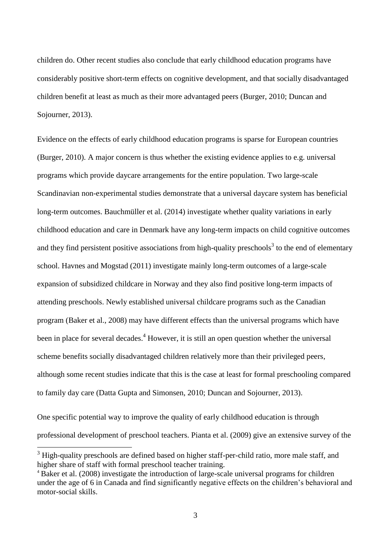children do. Other recent studies also conclude that early childhood education programs have considerably positive short-term effects on cognitive development, and that socially disadvantaged children benefit at least as much as their more advantaged peers (Burger, 2010; Duncan and Sojourner, 2013).

Evidence on the effects of early childhood education programs is sparse for European countries (Burger, 2010). A major concern is thus whether the existing evidence applies to e.g. universal programs which provide daycare arrangements for the entire population. Two large-scale Scandinavian non-experimental studies demonstrate that a universal daycare system has beneficial long-term outcomes. Bauchmüller et al. (2014) investigate whether quality variations in early childhood education and care in Denmark have any long-term impacts on child cognitive outcomes and they find persistent positive associations from high-quality preschools<sup>3</sup> to the end of elementary school. Havnes and Mogstad (2011) investigate mainly long-term outcomes of a large-scale expansion of subsidized childcare in Norway and they also find positive long-term impacts of attending preschools. Newly established universal childcare programs such as the Canadian program (Baker et al., 2008) may have different effects than the universal programs which have been in place for several decades.<sup>4</sup> However, it is still an open question whether the universal scheme benefits socially disadvantaged children relatively more than their privileged peers, although some recent studies indicate that this is the case at least for formal preschooling compared to family day care (Datta Gupta and Simonsen, 2010; Duncan and Sojourner, 2013).

One specific potential way to improve the quality of early childhood education is through professional development of preschool teachers. Pianta et al. (2009) give an extensive survey of the

 $3$  High-quality preschools are defined based on higher staff-per-child ratio, more male staff, and higher share of staff with formal preschool teacher training.

<sup>4</sup> Baker et al. (2008) investigate the introduction of large-scale universal programs for children under the age of 6 in Canada and find significantly negative effects on the children's behavioral and motor-social skills.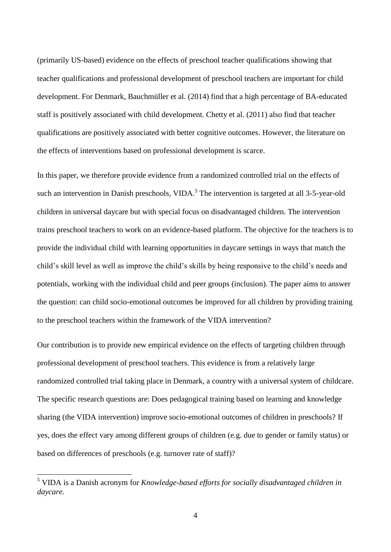(primarily US-based) evidence on the effects of preschool teacher qualifications showing that teacher qualifications and professional development of preschool teachers are important for child development. For Denmark, Bauchmüller et al. (2014) find that a high percentage of BA-educated staff is positively associated with child development. Chetty et al. (2011) also find that teacher qualifications are positively associated with better cognitive outcomes. However, the literature on the effects of interventions based on professional development is scarce.

In this paper, we therefore provide evidence from a randomized controlled trial on the effects of such an intervention in Danish preschools, VIDA.<sup>5</sup> The intervention is targeted at all 3-5-year-old children in universal daycare but with special focus on disadvantaged children. The intervention trains preschool teachers to work on an evidence-based platform. The objective for the teachers is to provide the individual child with learning opportunities in daycare settings in ways that match the child's skill level as well as improve the child's skills by being responsive to the child's needs and potentials, working with the individual child and peer groups (inclusion). The paper aims to answer the question: can child socio-emotional outcomes be improved for all children by providing training to the preschool teachers within the framework of the VIDA intervention?

Our contribution is to provide new empirical evidence on the effects of targeting children through professional development of preschool teachers. This evidence is from a relatively large randomized controlled trial taking place in Denmark, a country with a universal system of childcare. The specific research questions are: Does pedagogical training based on learning and knowledge sharing (the VIDA intervention) improve socio-emotional outcomes of children in preschools? If yes, does the effect vary among different groups of children (e.g. due to gender or family status) or based on differences of preschools (e.g. turnover rate of staff)?

<sup>5</sup> VIDA is a Danish acronym for *Knowledge-based efforts for socially disadvantaged children in daycare.*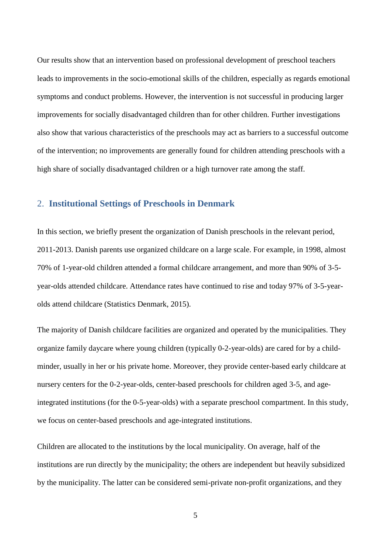Our results show that an intervention based on professional development of preschool teachers leads to improvements in the socio-emotional skills of the children, especially as regards emotional symptoms and conduct problems. However, the intervention is not successful in producing larger improvements for socially disadvantaged children than for other children. Further investigations also show that various characteristics of the preschools may act as barriers to a successful outcome of the intervention; no improvements are generally found for children attending preschools with a high share of socially disadvantaged children or a high turnover rate among the staff.

#### 2. **Institutional Settings of Preschools in Denmark**

In this section, we briefly present the organization of Danish preschools in the relevant period, 2011-2013. Danish parents use organized childcare on a large scale. For example, in 1998, almost 70% of 1-year-old children attended a formal childcare arrangement, and more than 90% of 3-5 year-olds attended childcare. Attendance rates have continued to rise and today 97% of 3-5-yearolds attend childcare (Statistics Denmark, 2015).

The majority of Danish childcare facilities are organized and operated by the municipalities. They organize family daycare where young children (typically 0-2-year-olds) are cared for by a childminder, usually in her or his private home. Moreover, they provide center-based early childcare at nursery centers for the 0-2-year-olds, center-based preschools for children aged 3-5, and ageintegrated institutions (for the 0-5-year-olds) with a separate preschool compartment. In this study, we focus on center-based preschools and age-integrated institutions.

Children are allocated to the institutions by the local municipality. On average, half of the institutions are run directly by the municipality; the others are independent but heavily subsidized by the municipality. The latter can be considered semi-private non-profit organizations, and they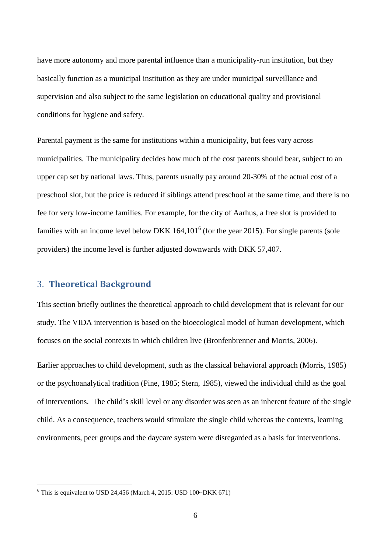have more autonomy and more parental influence than a municipality-run institution, but they basically function as a municipal institution as they are under municipal surveillance and supervision and also subject to the same legislation on educational quality and provisional conditions for hygiene and safety.

Parental payment is the same for institutions within a municipality, but fees vary across municipalities. The municipality decides how much of the cost parents should bear, subject to an upper cap set by national laws. Thus, parents usually pay around 20-30% of the actual cost of a preschool slot, but the price is reduced if siblings attend preschool at the same time, and there is no fee for very low-income families. For example, for the city of Aarhus, a free slot is provided to families with an income level below DKK  $164,101^6$  (for the year 2015). For single parents (sole providers) the income level is further adjusted downwards with DKK 57,407.

#### 3. **Theoretical Background**

1

This section briefly outlines the theoretical approach to child development that is relevant for our study. The VIDA intervention is based on the bioecological model of human development, which focuses on the social contexts in which children live (Bronfenbrenner and Morris, 2006).

Earlier approaches to child development, such as the classical behavioral approach (Morris, 1985) or the psychoanalytical tradition (Pine, 1985; Stern, 1985), viewed the individual child as the goal of interventions. The child's skill level or any disorder was seen as an inherent feature of the single child. As a consequence, teachers would stimulate the single child whereas the contexts, learning environments, peer groups and the daycare system were disregarded as a basis for interventions.

 $6$  This is equivalent to USD 24,456 (March 4, 2015: USD 100~DKK 671)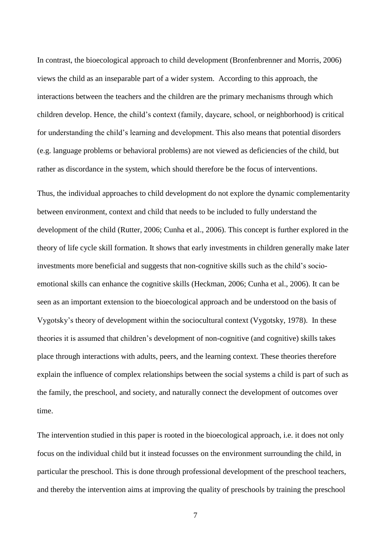In contrast, the bioecological approach to child development (Bronfenbrenner and Morris, 2006) views the child as an inseparable part of a wider system. According to this approach, the interactions between the teachers and the children are the primary mechanisms through which children develop. Hence, the child's context (family, daycare, school, or neighborhood) is critical for understanding the child's learning and development. This also means that potential disorders (e.g. language problems or behavioral problems) are not viewed as deficiencies of the child, but rather as discordance in the system, which should therefore be the focus of interventions.

Thus, the individual approaches to child development do not explore the dynamic complementarity between environment, context and child that needs to be included to fully understand the development of the child (Rutter, 2006; Cunha et al., 2006). This concept is further explored in the theory of life cycle skill formation. It shows that early investments in children generally make later investments more beneficial and suggests that non-cognitive skills such as the child's socioemotional skills can enhance the cognitive skills (Heckman, 2006; Cunha et al., 2006). It can be seen as an important extension to the bioecological approach and be understood on the basis of Vygotsky's theory of development within the sociocultural context (Vygotsky, 1978). In these theories it is assumed that children's development of non-cognitive (and cognitive) skills takes place through interactions with adults, peers, and the learning context. These theories therefore explain the influence of complex relationships between the social systems a child is part of such as the family, the preschool, and society, and naturally connect the development of outcomes over time.

The intervention studied in this paper is rooted in the bioecological approach, i.e. it does not only focus on the individual child but it instead focusses on the environment surrounding the child, in particular the preschool. This is done through professional development of the preschool teachers, and thereby the intervention aims at improving the quality of preschools by training the preschool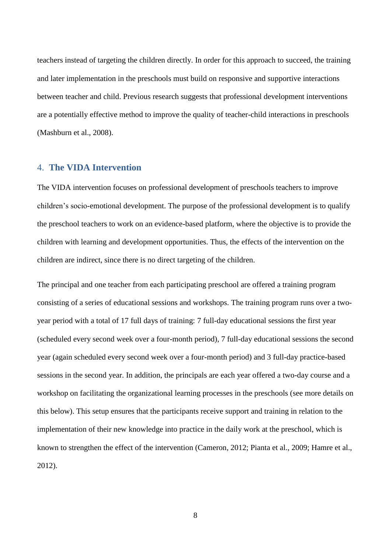teachers instead of targeting the children directly. In order for this approach to succeed, the training and later implementation in the preschools must build on responsive and supportive interactions between teacher and child. Previous research suggests that professional development interventions are a potentially effective method to improve the quality of teacher-child interactions in preschools (Mashburn et al., 2008).

#### 4. **The VIDA Intervention**

The VIDA intervention focuses on professional development of preschools teachers to improve children's socio-emotional development. The purpose of the professional development is to qualify the preschool teachers to work on an evidence-based platform, where the objective is to provide the children with learning and development opportunities. Thus, the effects of the intervention on the children are indirect, since there is no direct targeting of the children.

The principal and one teacher from each participating preschool are offered a training program consisting of a series of educational sessions and workshops. The training program runs over a twoyear period with a total of 17 full days of training: 7 full-day educational sessions the first year (scheduled every second week over a four-month period), 7 full-day educational sessions the second year (again scheduled every second week over a four-month period) and 3 full-day practice-based sessions in the second year. In addition, the principals are each year offered a two-day course and a workshop on facilitating the organizational learning processes in the preschools (see more details on this below). This setup ensures that the participants receive support and training in relation to the implementation of their new knowledge into practice in the daily work at the preschool, which is known to strengthen the effect of the intervention (Cameron, 2012; Pianta et al., 2009; Hamre et al., 2012).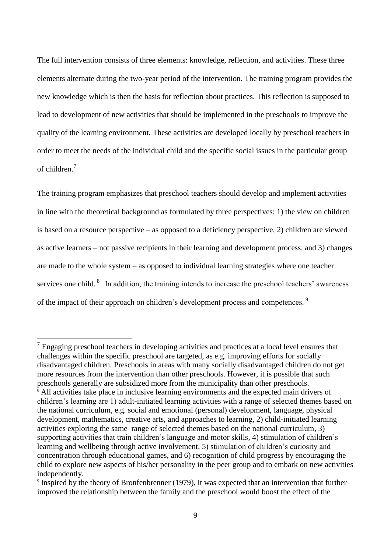The full intervention consists of three elements: knowledge, reflection, and activities. These three elements alternate during the two-year period of the intervention. The training program provides the new knowledge which is then the basis for reflection about practices. This reflection is supposed to lead to development of new activities that should be implemented in the preschools to improve the quality of the learning environment. These activities are developed locally by preschool teachers in order to meet the needs of the individual child and the specific social issues in the particular group of children. 7

The training program emphasizes that preschool teachers should develop and implement activities in line with the theoretical background as formulated by three perspectives: 1) the view on children is based on a resource perspective – as opposed to a deficiency perspective, 2) children are viewed as active learners – not passive recipients in their learning and development process, and 3) changes are made to the whole system – as opposed to individual learning strategies where one teacher services one child. <sup>8</sup> In addition, the training intends to increase the preschool teachers' awareness of the impact of their approach on children's development process and competences. <sup>9</sup>

 $<sup>7</sup>$  Engaging preschool teachers in developing activities and practices at a local level ensures that</sup> challenges within the specific preschool are targeted, as e.g. improving efforts for socially disadvantaged children. Preschools in areas with many socially disadvantaged children do not get more resources from the intervention than other preschools. However, it is possible that such preschools generally are subsidized more from the municipality than other preschools.  $\frac{8}{8}$  All activities take place in inclusive learning environments and the expected main drivers of children's learning are 1) adult-initiated learning activities with a range of selected themes based on the national curriculum, e.g. social and emotional (personal) development, language, physical development, mathematics, creative arts, and approaches to learning, 2) child-initiated learning activities exploring the same range of selected themes based on the national curriculum, 3) supporting activities that train children's language and motor skills, 4) stimulation of children's learning and wellbeing through active involvement, 5) stimulation of children's curiosity and concentration through educational games, and 6) recognition of child progress by encouraging the child to explore new aspects of his/her personality in the peer group and to embark on new activities independently.

<sup>&</sup>lt;sup>9</sup> Inspired by the theory of Bronfenbrenner (1979), it was expected that an intervention that further improved the relationship between the family and the preschool would boost the effect of the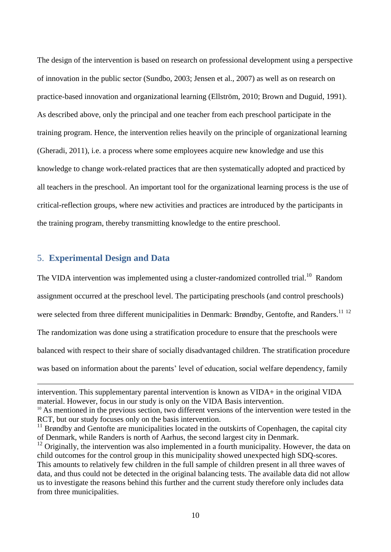The design of the intervention is based on research on professional development using a perspective of innovation in the public sector (Sundbo, 2003; Jensen et al., 2007) as well as on research on practice-based innovation and organizational learning (Ellström, 2010; Brown and Duguid, 1991). As described above, only the principal and one teacher from each preschool participate in the training program. Hence, the intervention relies heavily on the principle of organizational learning (Gheradi, 2011), i.e. a process where some employees acquire new knowledge and use this knowledge to change work-related practices that are then systematically adopted and practiced by all teachers in the preschool. An important tool for the organizational learning process is the use of critical-reflection groups, where new activities and practices are introduced by the participants in the training program, thereby transmitting knowledge to the entire preschool.

#### 5. **Experimental Design and Data**

1

The VIDA intervention was implemented using a cluster-randomized controlled trial.<sup>10</sup> Random assignment occurred at the preschool level. The participating preschools (and control preschools) were selected from three different municipalities in Denmark: Brøndby, Gentofte, and Randers.<sup>11 12</sup> The randomization was done using a stratification procedure to ensure that the preschools were balanced with respect to their share of socially disadvantaged children. The stratification procedure was based on information about the parents' level of education, social welfare dependency, family

intervention. This supplementary parental intervention is known as VIDA+ in the original VIDA material. However, focus in our study is only on the VIDA Basis intervention.

<sup>&</sup>lt;sup>10</sup> As mentioned in the previous section, two different versions of the intervention were tested in the RCT, but our study focuses only on the basis intervention.

 $11$  Brøndby and Gentofte are municipalities located in the outskirts of Copenhagen, the capital city of Denmark, while Randers is north of Aarhus, the second largest city in Denmark.

 $12$  Originally, the intervention was also implemented in a fourth municipality. However, the data on child outcomes for the control group in this municipality showed unexpected high SDQ-scores. This amounts to relatively few children in the full sample of children present in all three waves of data, and thus could not be detected in the original balancing tests. The available data did not allow us to investigate the reasons behind this further and the current study therefore only includes data from three municipalities.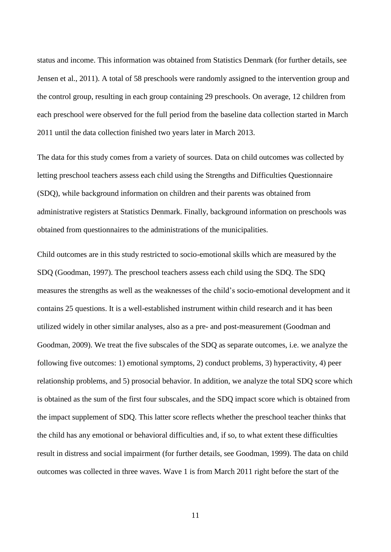status and income. This information was obtained from Statistics Denmark (for further details, see Jensen et al., 2011). A total of 58 preschools were randomly assigned to the intervention group and the control group, resulting in each group containing 29 preschools. On average, 12 children from each preschool were observed for the full period from the baseline data collection started in March 2011 until the data collection finished two years later in March 2013.

The data for this study comes from a variety of sources. Data on child outcomes was collected by letting preschool teachers assess each child using the Strengths and Difficulties Questionnaire (SDQ), while background information on children and their parents was obtained from administrative registers at Statistics Denmark. Finally, background information on preschools was obtained from questionnaires to the administrations of the municipalities.

Child outcomes are in this study restricted to socio-emotional skills which are measured by the SDQ (Goodman, 1997). The preschool teachers assess each child using the SDQ. The SDQ measures the strengths as well as the weaknesses of the child's socio-emotional development and it contains 25 questions. It is a well-established instrument within child research and it has been utilized widely in other similar analyses, also as a pre- and post-measurement (Goodman and Goodman, 2009). We treat the five subscales of the SDQ as separate outcomes, i.e. we analyze the following five outcomes: 1) emotional symptoms, 2) conduct problems, 3) hyperactivity, 4) peer relationship problems, and 5) prosocial behavior. In addition, we analyze the total SDQ score which is obtained as the sum of the first four subscales, and the SDQ impact score which is obtained from the impact supplement of SDQ. This latter score reflects whether the preschool teacher thinks that the child has any emotional or behavioral difficulties and, if so, to what extent these difficulties result in distress and social impairment (for further details, see Goodman, 1999). The data on child outcomes was collected in three waves. Wave 1 is from March 2011 right before the start of the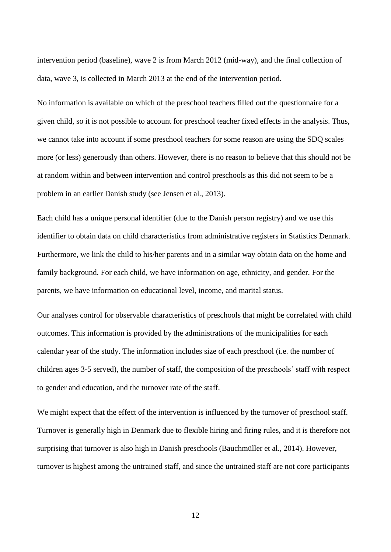intervention period (baseline), wave 2 is from March 2012 (mid-way), and the final collection of data, wave 3, is collected in March 2013 at the end of the intervention period.

No information is available on which of the preschool teachers filled out the questionnaire for a given child, so it is not possible to account for preschool teacher fixed effects in the analysis. Thus, we cannot take into account if some preschool teachers for some reason are using the SDQ scales more (or less) generously than others. However, there is no reason to believe that this should not be at random within and between intervention and control preschools as this did not seem to be a problem in an earlier Danish study (see Jensen et al., 2013).

Each child has a unique personal identifier (due to the Danish person registry) and we use this identifier to obtain data on child characteristics from administrative registers in Statistics Denmark. Furthermore, we link the child to his/her parents and in a similar way obtain data on the home and family background. For each child, we have information on age, ethnicity, and gender. For the parents, we have information on educational level, income, and marital status.

Our analyses control for observable characteristics of preschools that might be correlated with child outcomes. This information is provided by the administrations of the municipalities for each calendar year of the study. The information includes size of each preschool (i.e. the number of children ages 3-5 served), the number of staff, the composition of the preschools' staff with respect to gender and education, and the turnover rate of the staff.

We might expect that the effect of the intervention is influenced by the turnover of preschool staff. Turnover is generally high in Denmark due to flexible hiring and firing rules, and it is therefore not surprising that turnover is also high in Danish preschools (Bauchmüller et al., 2014). However, turnover is highest among the untrained staff, and since the untrained staff are not core participants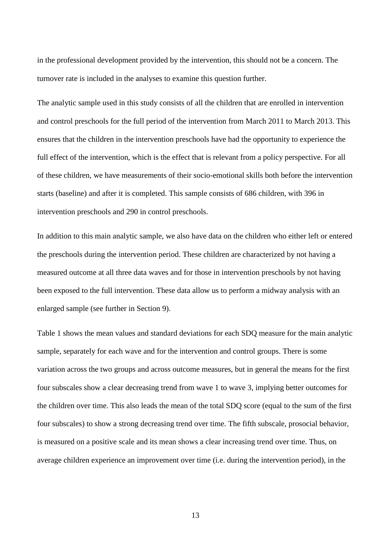in the professional development provided by the intervention, this should not be a concern. The turnover rate is included in the analyses to examine this question further.

The analytic sample used in this study consists of all the children that are enrolled in intervention and control preschools for the full period of the intervention from March 2011 to March 2013. This ensures that the children in the intervention preschools have had the opportunity to experience the full effect of the intervention, which is the effect that is relevant from a policy perspective. For all of these children, we have measurements of their socio-emotional skills both before the intervention starts (baseline) and after it is completed. This sample consists of 686 children, with 396 in intervention preschools and 290 in control preschools.

In addition to this main analytic sample, we also have data on the children who either left or entered the preschools during the intervention period. These children are characterized by not having a measured outcome at all three data waves and for those in intervention preschools by not having been exposed to the full intervention. These data allow us to perform a midway analysis with an enlarged sample (see further in Section 9).

Table 1 shows the mean values and standard deviations for each SDQ measure for the main analytic sample, separately for each wave and for the intervention and control groups. There is some variation across the two groups and across outcome measures, but in general the means for the first four subscales show a clear decreasing trend from wave 1 to wave 3, implying better outcomes for the children over time. This also leads the mean of the total SDQ score (equal to the sum of the first four subscales) to show a strong decreasing trend over time. The fifth subscale, prosocial behavior, is measured on a positive scale and its mean shows a clear increasing trend over time. Thus, on average children experience an improvement over time (i.e. during the intervention period), in the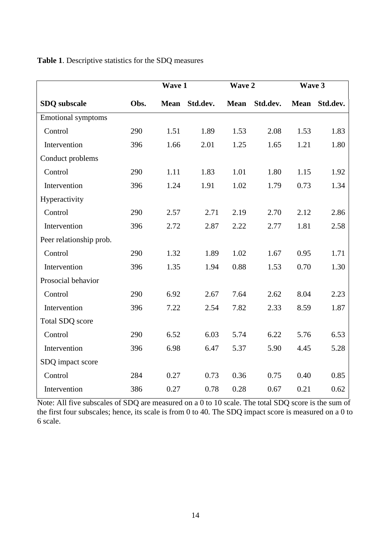|                           |      | Wave 1      |          | Wave 2      |          | Wave 3      |          |
|---------------------------|------|-------------|----------|-------------|----------|-------------|----------|
| <b>SDQ</b> subscale       | Obs. | <b>Mean</b> | Std.dev. | <b>Mean</b> | Std.dev. | <b>Mean</b> | Std.dev. |
| <b>Emotional symptoms</b> |      |             |          |             |          |             |          |
| Control                   | 290  | 1.51        | 1.89     | 1.53        | 2.08     | 1.53        | 1.83     |
| Intervention              | 396  | 1.66        | 2.01     | 1.25        | 1.65     | 1.21        | 1.80     |
| Conduct problems          |      |             |          |             |          |             |          |
| Control                   | 290  | 1.11        | 1.83     | 1.01        | 1.80     | 1.15        | 1.92     |
| Intervention              | 396  | 1.24        | 1.91     | 1.02        | 1.79     | 0.73        | 1.34     |
| Hyperactivity             |      |             |          |             |          |             |          |
| Control                   | 290  | 2.57        | 2.71     | 2.19        | 2.70     | 2.12        | 2.86     |
| Intervention              | 396  | 2.72        | 2.87     | 2.22        | 2.77     | 1.81        | 2.58     |
| Peer relationship prob.   |      |             |          |             |          |             |          |
| Control                   | 290  | 1.32        | 1.89     | 1.02        | 1.67     | 0.95        | 1.71     |
| Intervention              | 396  | 1.35        | 1.94     | 0.88        | 1.53     | 0.70        | 1.30     |
| Prosocial behavior        |      |             |          |             |          |             |          |
| Control                   | 290  | 6.92        | 2.67     | 7.64        | 2.62     | 8.04        | 2.23     |
| Intervention              | 396  | 7.22        | 2.54     | 7.82        | 2.33     | 8.59        | 1.87     |
| Total SDQ score           |      |             |          |             |          |             |          |
| Control                   | 290  | 6.52        | 6.03     | 5.74        | 6.22     | 5.76        | 6.53     |
| Intervention              | 396  | 6.98        | 6.47     | 5.37        | 5.90     | 4.45        | 5.28     |
| SDQ impact score          |      |             |          |             |          |             |          |
| Control                   | 284  | 0.27        | 0.73     | 0.36        | 0.75     | 0.40        | 0.85     |
| Intervention              | 386  | 0.27        | 0.78     | 0.28        | 0.67     | 0.21        | 0.62     |

#### **Table 1**. Descriptive statistics for the SDQ measures

Note: All five subscales of SDQ are measured on a 0 to 10 scale. The total SDQ score is the sum of the first four subscales; hence, its scale is from 0 to 40. The SDQ impact score is measured on a 0 to 6 scale.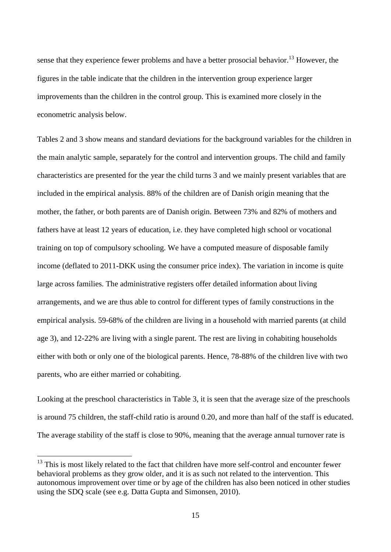sense that they experience fewer problems and have a better prosocial behavior.<sup>13</sup> However, the figures in the table indicate that the children in the intervention group experience larger improvements than the children in the control group. This is examined more closely in the econometric analysis below.

Tables 2 and 3 show means and standard deviations for the background variables for the children in the main analytic sample, separately for the control and intervention groups. The child and family characteristics are presented for the year the child turns 3 and we mainly present variables that are included in the empirical analysis. 88% of the children are of Danish origin meaning that the mother, the father, or both parents are of Danish origin. Between 73% and 82% of mothers and fathers have at least 12 years of education, i.e. they have completed high school or vocational training on top of compulsory schooling. We have a computed measure of disposable family income (deflated to 2011-DKK using the consumer price index). The variation in income is quite large across families. The administrative registers offer detailed information about living arrangements, and we are thus able to control for different types of family constructions in the empirical analysis. 59-68% of the children are living in a household with married parents (at child age 3), and 12-22% are living with a single parent. The rest are living in cohabiting households either with both or only one of the biological parents. Hence, 78-88% of the children live with two parents, who are either married or cohabiting.

Looking at the preschool characteristics in Table 3, it is seen that the average size of the preschools is around 75 children, the staff-child ratio is around 0.20, and more than half of the staff is educated. The average stability of the staff is close to 90%, meaning that the average annual turnover rate is

<sup>&</sup>lt;sup>13</sup> This is most likely related to the fact that children have more self-control and encounter fewer behavioral problems as they grow older, and it is as such not related to the intervention. This autonomous improvement over time or by age of the children has also been noticed in other studies using the SDQ scale (see e.g. Datta Gupta and Simonsen, 2010).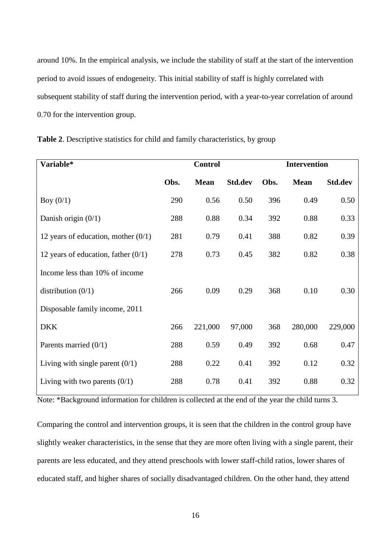around 10%. In the empirical analysis, we include the stability of staff at the start of the intervention period to avoid issues of endogeneity. This initial stability of staff is highly correlated with subsequent stability of staff during the intervention period, with a year-to-year correlation of around 0.70 for the intervention group.

| Variable*                             |      | <b>Control</b> |                |      | <b>Intervention</b> |                |  |  |
|---------------------------------------|------|----------------|----------------|------|---------------------|----------------|--|--|
|                                       | Obs. | <b>Mean</b>    | <b>Std.dev</b> | Obs. | <b>Mean</b>         | <b>Std.dev</b> |  |  |
| Boy $(0/1)$                           | 290  | 0.56           | 0.50           | 396  | 0.49                | 0.50           |  |  |
| Danish origin $(0/1)$                 | 288  | 0.88           | 0.34           | 392  | 0.88                | 0.33           |  |  |
| 12 years of education, mother $(0/1)$ | 281  | 0.79           | 0.41           | 388  | 0.82                | 0.39           |  |  |
| 12 years of education, father $(0/1)$ | 278  | 0.73           | 0.45           | 382  | 0.82                | 0.38           |  |  |
| Income less than 10% of income        |      |                |                |      |                     |                |  |  |
| distribution $(0/1)$                  | 266  | 0.09           | 0.29           | 368  | 0.10                | 0.30           |  |  |
| Disposable family income, 2011        |      |                |                |      |                     |                |  |  |
| <b>DKK</b>                            | 266  | 221,000        | 97,000         | 368  | 280,000             | 229,000        |  |  |
| Parents married $(0/1)$               | 288  | 0.59           | 0.49           | 392  | 0.68                | 0.47           |  |  |
| Living with single parent $(0/1)$     | 288  | 0.22           | 0.41           | 392  | 0.12                | 0.32           |  |  |
| Living with two parents $(0/1)$       | 288  | 0.78           | 0.41           | 392  | 0.88                | 0.32           |  |  |

**Table 2**. Descriptive statistics for child and family characteristics, by group

Note: \*Background information for children is collected at the end of the year the child turns 3.

Comparing the control and intervention groups, it is seen that the children in the control group have slightly weaker characteristics, in the sense that they are more often living with a single parent, their parents are less educated, and they attend preschools with lower staff-child ratios, lower shares of educated staff, and higher shares of socially disadvantaged children. On the other hand, they attend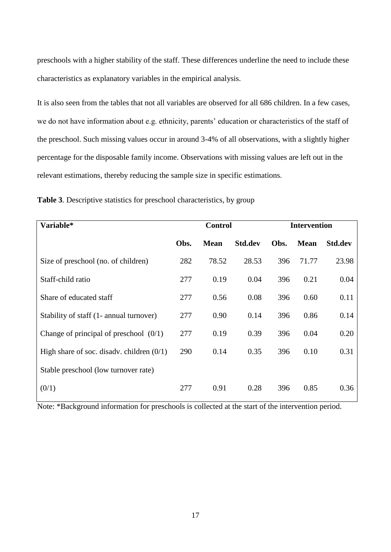preschools with a higher stability of the staff. These differences underline the need to include these characteristics as explanatory variables in the empirical analysis.

It is also seen from the tables that not all variables are observed for all 686 children. In a few cases, we do not have information about e.g. ethnicity, parents' education or characteristics of the staff of the preschool. Such missing values occur in around 3-4% of all observations, with a slightly higher percentage for the disposable family income. Observations with missing values are left out in the relevant estimations, thereby reducing the sample size in specific estimations.

| Variable*                                   |      | <b>Control</b> |                |      | <b>Intervention</b> |         |  |
|---------------------------------------------|------|----------------|----------------|------|---------------------|---------|--|
|                                             | Obs. | <b>Mean</b>    | <b>Std.dev</b> | Obs. | <b>Mean</b>         | Std.dev |  |
| Size of preschool (no. of children)         | 282  | 78.52          | 28.53          | 396  | 71.77               | 23.98   |  |
| Staff-child ratio                           | 277  | 0.19           | 0.04           | 396  | 0.21                | 0.04    |  |
| Share of educated staff                     | 277  | 0.56           | 0.08           | 396  | 0.60                | 0.11    |  |
| Stability of staff (1- annual turnover)     | 277  | 0.90           | 0.14           | 396  | 0.86                | 0.14    |  |
| Change of principal of preschool $(0/1)$    | 277  | 0.19           | 0.39           | 396  | 0.04                | 0.20    |  |
| High share of soc. disadv. children $(0/1)$ | 290  | 0.14           | 0.35           | 396  | 0.10                | 0.31    |  |
| Stable preschool (low turnover rate)        |      |                |                |      |                     |         |  |
| (0/1)                                       | 277  | 0.91           | 0.28           | 396  | 0.85                | 0.36    |  |

**Table 3**. Descriptive statistics for preschool characteristics, by group

Note: \*Background information for preschools is collected at the start of the intervention period.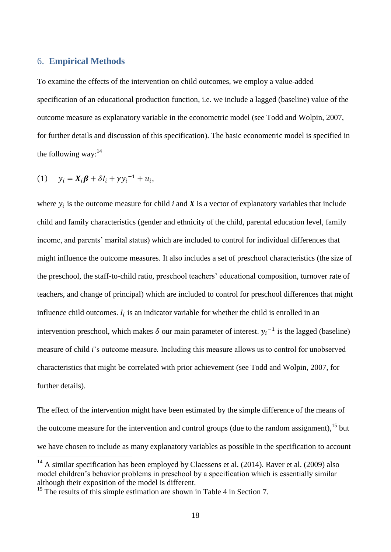#### 6. **Empirical Methods**

To examine the effects of the intervention on child outcomes, we employ a value-added specification of an educational production function, i.e. we include a lagged (baseline) value of the outcome measure as explanatory variable in the econometric model (see Todd and Wolpin, 2007, for further details and discussion of this specification). The basic econometric model is specified in the following way: $14$ 

$$
(1) \t y_i = X_i \boldsymbol{\beta} + \delta I_i + \gamma y_i^{-1} + u_i,
$$

1

where  $y_i$  is the outcome measure for child *i* and  $X$  is a vector of explanatory variables that include child and family characteristics (gender and ethnicity of the child, parental education level, family income, and parents' marital status) which are included to control for individual differences that might influence the outcome measures. It also includes a set of preschool characteristics (the size of the preschool, the staff-to-child ratio, preschool teachers' educational composition, turnover rate of teachers, and change of principal) which are included to control for preschool differences that might influence child outcomes.  $I_i$  is an indicator variable for whether the child is enrolled in an intervention preschool, which makes  $\delta$  our main parameter of interest.  $y_i^{-1}$  is the lagged (baseline) measure of child *i*'s outcome measure. Including this measure allows us to control for unobserved characteristics that might be correlated with prior achievement (see Todd and Wolpin, 2007, for further details).

The effect of the intervention might have been estimated by the simple difference of the means of the outcome measure for the intervention and control groups (due to the random assignment),<sup>15</sup> but we have chosen to include as many explanatory variables as possible in the specification to account

 $14$  A similar specification has been employed by Claessens et al. (2014). Raver et al. (2009) also model children's behavior problems in preschool by a specification which is essentially similar although their exposition of the model is different.

<sup>&</sup>lt;sup>15</sup> The results of this simple estimation are shown in Table 4 in Section 7.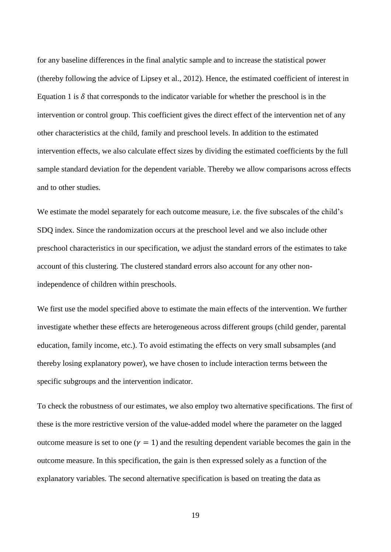for any baseline differences in the final analytic sample and to increase the statistical power (thereby following the advice of Lipsey et al., 2012). Hence, the estimated coefficient of interest in Equation 1 is  $\delta$  that corresponds to the indicator variable for whether the preschool is in the intervention or control group. This coefficient gives the direct effect of the intervention net of any other characteristics at the child, family and preschool levels. In addition to the estimated intervention effects, we also calculate effect sizes by dividing the estimated coefficients by the full sample standard deviation for the dependent variable. Thereby we allow comparisons across effects and to other studies.

We estimate the model separately for each outcome measure, i.e. the five subscales of the child's SDQ index. Since the randomization occurs at the preschool level and we also include other preschool characteristics in our specification, we adjust the standard errors of the estimates to take account of this clustering. The clustered standard errors also account for any other nonindependence of children within preschools.

We first use the model specified above to estimate the main effects of the intervention. We further investigate whether these effects are heterogeneous across different groups (child gender, parental education, family income, etc.). To avoid estimating the effects on very small subsamples (and thereby losing explanatory power), we have chosen to include interaction terms between the specific subgroups and the intervention indicator.

To check the robustness of our estimates, we also employ two alternative specifications. The first of these is the more restrictive version of the value-added model where the parameter on the lagged outcome measure is set to one ( $\gamma = 1$ ) and the resulting dependent variable becomes the gain in the outcome measure. In this specification, the gain is then expressed solely as a function of the explanatory variables. The second alternative specification is based on treating the data as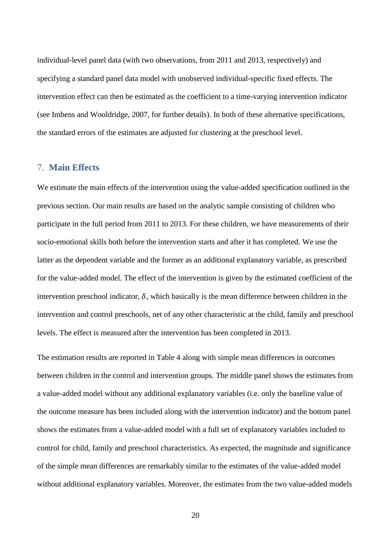individual-level panel data (with two observations, from 2011 and 2013, respectively) and specifying a standard panel data model with unobserved individual-specific fixed effects. The intervention effect can then be estimated as the coefficient to a time-varying intervention indicator (see Imbens and Wooldridge, 2007, for further details). In both of these alternative specifications, the standard errors of the estimates are adjusted for clustering at the preschool level.

#### 7. **Main Effects**

We estimate the main effects of the intervention using the value-added specification outlined in the previous section. Our main results are based on the analytic sample consisting of children who participate in the full period from 2011 to 2013. For these children, we have measurements of their socio-emotional skills both before the intervention starts and after it has completed. We use the latter as the dependent variable and the former as an additional explanatory variable, as prescribed for the value-added model. The effect of the intervention is given by the estimated coefficient of the intervention preschool indicator,  $\delta$ , which basically is the mean difference between children in the intervention and control preschools, net of any other characteristic at the child, family and preschool levels. The effect is measured after the intervention has been completed in 2013.

The estimation results are reported in Table 4 along with simple mean differences in outcomes between children in the control and intervention groups. The middle panel shows the estimates from a value-added model without any additional explanatory variables (i.e. only the baseline value of the outcome measure has been included along with the intervention indicator) and the bottom panel shows the estimates from a value-added model with a full set of explanatory variables included to control for child, family and preschool characteristics. As expected, the magnitude and significance of the simple mean differences are remarkably similar to the estimates of the value-added model without additional explanatory variables. Moreover, the estimates from the two value-added models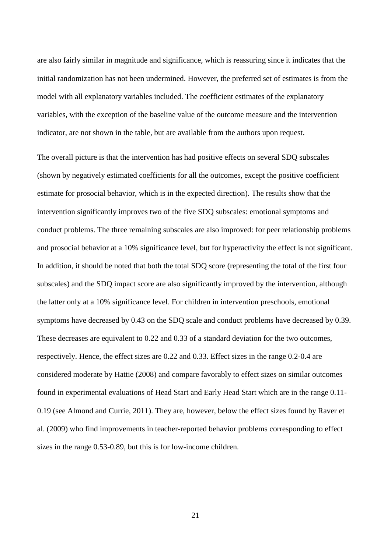are also fairly similar in magnitude and significance, which is reassuring since it indicates that the initial randomization has not been undermined. However, the preferred set of estimates is from the model with all explanatory variables included. The coefficient estimates of the explanatory variables, with the exception of the baseline value of the outcome measure and the intervention indicator, are not shown in the table, but are available from the authors upon request.

The overall picture is that the intervention has had positive effects on several SDQ subscales (shown by negatively estimated coefficients for all the outcomes, except the positive coefficient estimate for prosocial behavior, which is in the expected direction). The results show that the intervention significantly improves two of the five SDQ subscales: emotional symptoms and conduct problems. The three remaining subscales are also improved: for peer relationship problems and prosocial behavior at a 10% significance level, but for hyperactivity the effect is not significant. In addition, it should be noted that both the total SDQ score (representing the total of the first four subscales) and the SDQ impact score are also significantly improved by the intervention, although the latter only at a 10% significance level. For children in intervention preschools, emotional symptoms have decreased by 0.43 on the SDQ scale and conduct problems have decreased by 0.39. These decreases are equivalent to 0.22 and 0.33 of a standard deviation for the two outcomes, respectively. Hence, the effect sizes are 0.22 and 0.33. Effect sizes in the range 0.2-0.4 are considered moderate by Hattie (2008) and compare favorably to effect sizes on similar outcomes found in experimental evaluations of Head Start and Early Head Start which are in the range 0.11- 0.19 (see Almond and Currie, 2011). They are, however, below the effect sizes found by Raver et al. (2009) who find improvements in teacher-reported behavior problems corresponding to effect sizes in the range 0.53-0.89, but this is for low-income children.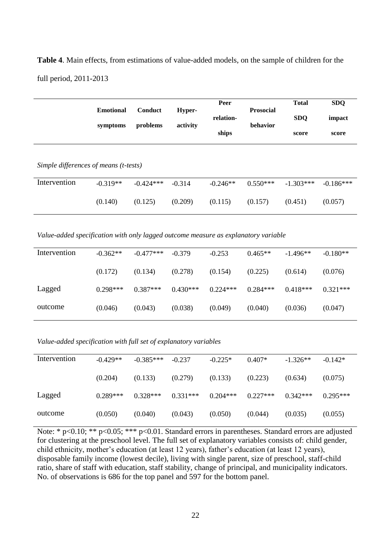**Table 4**. Main effects, from estimations of value-added models, on the sample of children for the full period, 2011-2013

|                                       | <b>Emotional</b><br>symptoms | Conduct<br>problems | Hyper-<br>activity | Peer<br>relation-<br>ships | <b>Prosocial</b><br><b>behavior</b> | <b>Total</b><br><b>SDQ</b><br>score | <b>SDQ</b><br>impact<br>score |
|---------------------------------------|------------------------------|---------------------|--------------------|----------------------------|-------------------------------------|-------------------------------------|-------------------------------|
| Simple differences of means (t-tests) |                              |                     |                    |                            |                                     |                                     |                               |
| Intervention                          | $-0.319**$                   | $-0.424***$         | $-0.314$           | $-0.246**$                 | $0.550***$                          | $-1.303***$                         | $-0.186***$                   |
|                                       | (0.140)                      | (0.125)             | (0.209)            | (0.115)                    | (0.157)                             | (0.451)                             | (0.057)                       |

*Value-added specification with only lagged outcome measure as explanatory variable*

| Intervention | $-0.362**$ | $-0.477***$ | $-0.379$   | $-0.253$   | $0.465**$  | $-1.496**$ | $-0.180**$ |
|--------------|------------|-------------|------------|------------|------------|------------|------------|
|              | (0.172)    | (0.134)     | (0.278)    | (0.154)    | (0.225)    | (0.614)    | (0.076)    |
| Lagged       | $0.298***$ | $0.387***$  | $0.430***$ | $0.224***$ | $0.284***$ | $0.418***$ | $0.321***$ |
| outcome      | (0.046)    | (0.043)     | (0.038)    | (0.049)    | (0.040)    | (0.036)    | (0.047)    |

*Value-added specification with full set of explanatory variables*

| Intervention | $-0.429**$ | $-0.385***$ | $-0.237$   | $-0.225*$  | $0.407*$   | $-1.326**$ | $-0.142*$  |
|--------------|------------|-------------|------------|------------|------------|------------|------------|
|              | (0.204)    | (0.133)     | (0.279)    | (0.133)    | (0.223)    | (0.634)    | (0.075)    |
| Lagged       | $0.289***$ | $0.328***$  | $0.331***$ | $0.204***$ | $0.227***$ | $0.342***$ | $0.295***$ |
| outcome      | (0.050)    | (0.040)     | (0.043)    | (0.050)    | (0.044)    | (0.035)    | (0.055)    |

Note: \* p<0.10; \*\* p<0.05; \*\*\* p<0.01. Standard errors in parentheses. Standard errors are adjusted for clustering at the preschool level. The full set of explanatory variables consists of: child gender, child ethnicity, mother's education (at least 12 years), father's education (at least 12 years), disposable family income (lowest decile), living with single parent, size of preschool, staff-child ratio, share of staff with education, staff stability, change of principal, and municipality indicators. No. of observations is 686 for the top panel and 597 for the bottom panel.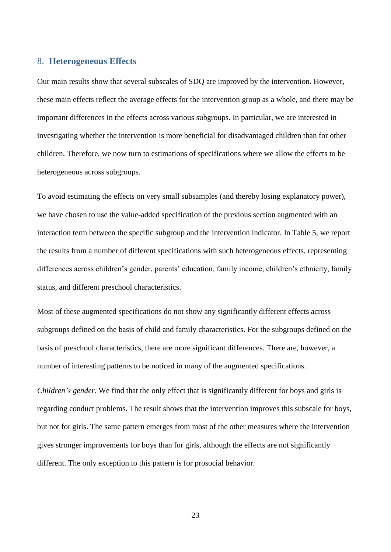#### 8. **Heterogeneous Effects**

Our main results show that several subscales of SDQ are improved by the intervention. However, these main effects reflect the average effects for the intervention group as a whole, and there may be important differences in the effects across various subgroups. In particular, we are interested in investigating whether the intervention is more beneficial for disadvantaged children than for other children. Therefore, we now turn to estimations of specifications where we allow the effects to be heterogeneous across subgroups.

To avoid estimating the effects on very small subsamples (and thereby losing explanatory power), we have chosen to use the value-added specification of the previous section augmented with an interaction term between the specific subgroup and the intervention indicator. In Table 5, we report the results from a number of different specifications with such heterogeneous effects, representing differences across children's gender, parents' education, family income, children's ethnicity, family status, and different preschool characteristics.

Most of these augmented specifications do not show any significantly different effects across subgroups defined on the basis of child and family characteristics. For the subgroups defined on the basis of preschool characteristics, there are more significant differences. There are, however, a number of interesting patterns to be noticed in many of the augmented specifications.

*Children's gender*. We find that the only effect that is significantly different for boys and girls is regarding conduct problems. The result shows that the intervention improves this subscale for boys, but not for girls. The same pattern emerges from most of the other measures where the intervention gives stronger improvements for boys than for girls, although the effects are not significantly different. The only exception to this pattern is for prosocial behavior.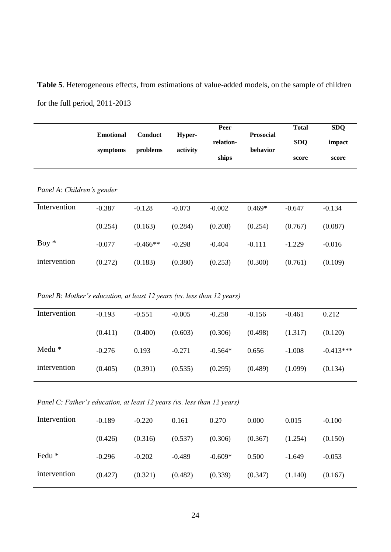**Table 5**. Heterogeneous effects, from estimations of value-added models, on the sample of children for the full period, 2011-2013

|                            | <b>Emotional</b> | Conduct    | Hyper-   | Peer<br>relation- | <b>Prosocial</b> | <b>Total</b><br><b>SDQ</b> | <b>SDQ</b><br>impact |
|----------------------------|------------------|------------|----------|-------------------|------------------|----------------------------|----------------------|
|                            | symptoms         | problems   | activity | ships             | behavior         | score                      | score                |
| Panel A: Children's gender |                  |            |          |                   |                  |                            |                      |
| Intervention               | $-0.387$         | $-0.128$   | $-0.073$ | $-0.002$          | $0.469*$         | $-0.647$                   | $-0.134$             |
|                            | (0.254)          | (0.163)    | (0.284)  | (0.208)           | (0.254)          | (0.767)                    | (0.087)              |
| $Boy *$                    | $-0.077$         | $-0.466**$ | $-0.298$ | $-0.404$          | $-0.111$         | $-1.229$                   | $-0.016$             |
| intervention               | (0.272)          | (0.183)    | (0.380)  | (0.253)           | (0.300)          | (0.761)                    | (0.109)              |

*Panel B: Mother's education, at least 12 years (vs. less than 12 years)*

| Intervention | $-0.193$ | $-0.551$ | $-0.005$ | $-0.258$  | $-0.156$ | $-0.461$ | 0.212       |
|--------------|----------|----------|----------|-----------|----------|----------|-------------|
|              |          |          |          |           |          |          |             |
|              | (0.411)  | (0.400)  | (0.603)  | (0.306)   | (0.498)  | (1.317)  | (0.120)     |
|              |          |          |          |           |          |          |             |
| Medu $*$     | $-0.276$ | 0.193    | $-0.271$ | $-0.564*$ | 0.656    | $-1.008$ | $-0.413***$ |
|              |          |          |          |           |          |          |             |
| intervention | (0.405)  | (0.391)  | (0.535)  | (0.295)   | (0.489)  | (1.099)  | (0.134)     |
|              |          |          |          |           |          |          |             |

*Panel C: Father's education, at least 12 years (vs. less than 12 years)*

| Intervention | $-0.189$ | $-0.220$ | 0.161    | 0.270     | 0.000   | 0.015    | $-0.100$ |
|--------------|----------|----------|----------|-----------|---------|----------|----------|
|              | (0.426)  | (0.316)  | (0.537)  | (0.306)   | (0.367) | (1.254)  | (0.150)  |
| Fedu *       | $-0.296$ | $-0.202$ | $-0.489$ | $-0.609*$ | 0.500   | $-1.649$ | $-0.053$ |
| intervention | (0.427)  | (0.321)  | (0.482)  | (0.339)   | (0.347) | (1.140)  | (0.167)  |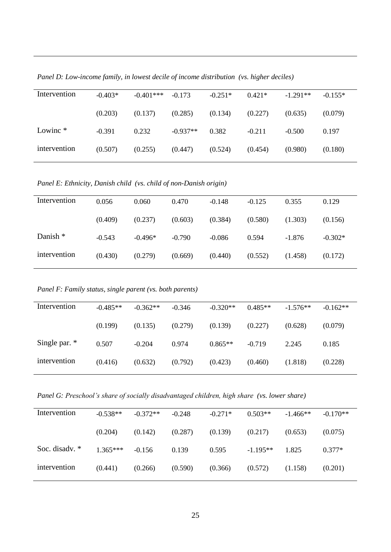| Intervention | $-0.403*$ | $-0.401***$ | $-0.173$   | $-0.251*$ | $0.421*$ | $-1.291**$ | $-0.155*$ |
|--------------|-----------|-------------|------------|-----------|----------|------------|-----------|
|              | (0.203)   | (0.137)     | (0.285)    | (0.134)   | (0.227)  | (0.635)    | (0.079)   |
| Lowinc $*$   | $-0.391$  | 0.232       | $-0.937**$ | 0.382     | $-0.211$ | $-0.500$   | 0.197     |
| intervention | (0.507)   | (0.255)     | (0.447)    | (0.524)   | (0.454)  | (0.980)    | (0.180)   |

*Panel D: Low-income family, in lowest decile of income distribution (vs. higher deciles)*

*Panel E: Ethnicity, Danish child (vs. child of non-Danish origin)*

| 0.056    | 0.060     | 0.470    | $-0.148$ | $-0.125$ | 0.355    | 0.129     |
|----------|-----------|----------|----------|----------|----------|-----------|
| (0.409)  | (0.237)   | (0.603)  | (0.384)  | (0.580)  | (1.303)  | (0.156)   |
| $-0.543$ | $-0.496*$ | $-0.790$ | $-0.086$ | 0.594    | $-1.876$ | $-0.302*$ |
| (0.430)  | (0.279)   | (0.669)  | (0.440)  | (0.552)  | (1.458)  | (0.172)   |
|          |           |          |          |          |          |           |

*Panel F: Family status, single parent (vs. both parents)*

| Intervention    | $-0.485**$ | $-0.362**$ | $-0.346$ | $-0.320**$ | $0.485**$ | $-1.576**$ | $-0.162**$ |
|-----------------|------------|------------|----------|------------|-----------|------------|------------|
|                 | (0.199)    | (0.135)    | (0.279)  | (0.139)    | (0.227)   | (0.628)    | (0.079)    |
| Single par. $*$ | 0.507      | $-0.204$   | 0.974    | $0.865**$  | $-0.719$  | 2.245      | 0.185      |
| intervention    | (0.416)    | (0.632)    | (0.792)  | (0.423)    | (0.460)   | (1.818)    | (0.228)    |

*Panel G: Preschool's share of socially disadvantaged children, high share (vs. lower share)*

| Intervention   | $-0.538**$ | $-0.372**$ | $-0.248$ | $-0.271*$ | $0.503**$  | $-1.466**$ | $-0.170**$ |
|----------------|------------|------------|----------|-----------|------------|------------|------------|
|                | (0.204)    | (0.142)    | (0.287)  | (0.139)   | (0.217)    | (0.653)    | (0.075)    |
| Soc. disadv. * | $1.365***$ | $-0.156$   | 0.139    | 0.595     | $-1.195**$ | 1.825      | $0.377*$   |
| intervention   | (0.441)    | (0.266)    | (0.590)  | (0.366)   | (0.572)    | (1.158)    | (0.201)    |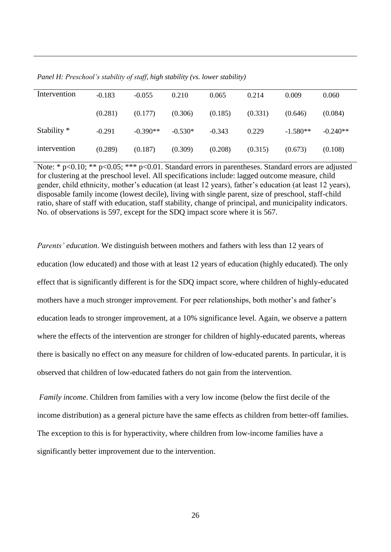| Intervention  | $-0.183$ | $-0.055$   | 0.210     | 0.065    | 0.214   | 0.009      | 0.060      |
|---------------|----------|------------|-----------|----------|---------|------------|------------|
|               | (0.281)  | (0.177)    | (0.306)   | (0.185)  | (0.331) | (0.646)    | (0.084)    |
| Stability $*$ | $-0.291$ | $-0.390**$ | $-0.530*$ | $-0.343$ | 0.229   | $-1.580**$ | $-0.240**$ |
| intervention  | (0.289)  | (0.187)    | (0.309)   | (0.208)  | (0.315) | (0.673)    | (0.108)    |

*Panel H: Preschool's stability of staff, high stability (vs. lower stability)*

Note: \* p<0.10; \*\* p<0.05; \*\*\* p<0.01. Standard errors in parentheses. Standard errors are adjusted for clustering at the preschool level. All specifications include: lagged outcome measure, child gender, child ethnicity, mother's education (at least 12 years), father's education (at least 12 years), disposable family income (lowest decile), living with single parent, size of preschool, staff-child ratio, share of staff with education, staff stability, change of principal, and municipality indicators. No. of observations is 597, except for the SDQ impact score where it is 567.

*Parents' education*. We distinguish between mothers and fathers with less than 12 years of education (low educated) and those with at least 12 years of education (highly educated). The only effect that is significantly different is for the SDQ impact score, where children of highly-educated mothers have a much stronger improvement. For peer relationships, both mother's and father's education leads to stronger improvement, at a 10% significance level. Again, we observe a pattern where the effects of the intervention are stronger for children of highly-educated parents, whereas there is basically no effect on any measure for children of low-educated parents. In particular, it is observed that children of low-educated fathers do not gain from the intervention.

*Family income*. Children from families with a very low income (below the first decile of the income distribution) as a general picture have the same effects as children from better-off families. The exception to this is for hyperactivity, where children from low-income families have a significantly better improvement due to the intervention.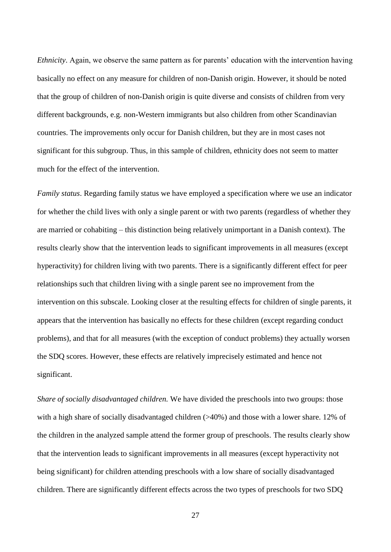*Ethnicity*. Again, we observe the same pattern as for parents' education with the intervention having basically no effect on any measure for children of non-Danish origin. However, it should be noted that the group of children of non-Danish origin is quite diverse and consists of children from very different backgrounds, e.g. non-Western immigrants but also children from other Scandinavian countries. The improvements only occur for Danish children, but they are in most cases not significant for this subgroup. Thus, in this sample of children, ethnicity does not seem to matter much for the effect of the intervention.

*Family status*. Regarding family status we have employed a specification where we use an indicator for whether the child lives with only a single parent or with two parents (regardless of whether they are married or cohabiting – this distinction being relatively unimportant in a Danish context). The results clearly show that the intervention leads to significant improvements in all measures (except hyperactivity) for children living with two parents. There is a significantly different effect for peer relationships such that children living with a single parent see no improvement from the intervention on this subscale. Looking closer at the resulting effects for children of single parents, it appears that the intervention has basically no effects for these children (except regarding conduct problems), and that for all measures (with the exception of conduct problems) they actually worsen the SDQ scores. However, these effects are relatively imprecisely estimated and hence not significant.

*Share of socially disadvantaged children.* We have divided the preschools into two groups: those with a high share of socially disadvantaged children (>40%) and those with a lower share. 12% of the children in the analyzed sample attend the former group of preschools. The results clearly show that the intervention leads to significant improvements in all measures (except hyperactivity not being significant) for children attending preschools with a low share of socially disadvantaged children. There are significantly different effects across the two types of preschools for two SDQ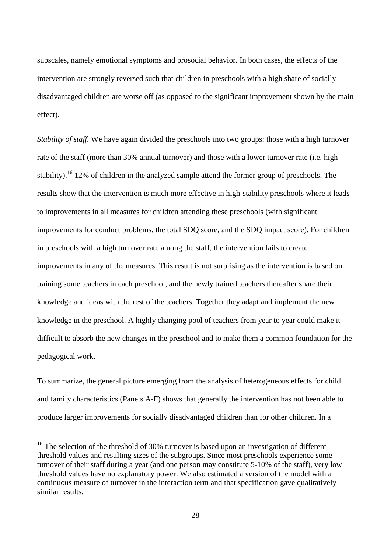subscales, namely emotional symptoms and prosocial behavior. In both cases, the effects of the intervention are strongly reversed such that children in preschools with a high share of socially disadvantaged children are worse off (as opposed to the significant improvement shown by the main effect).

*Stability of staff.* We have again divided the preschools into two groups: those with a high turnover rate of the staff (more than 30% annual turnover) and those with a lower turnover rate (i.e. high stability).<sup>16</sup> 12% of children in the analyzed sample attend the former group of preschools. The results show that the intervention is much more effective in high-stability preschools where it leads to improvements in all measures for children attending these preschools (with significant improvements for conduct problems, the total SDQ score, and the SDQ impact score). For children in preschools with a high turnover rate among the staff, the intervention fails to create improvements in any of the measures. This result is not surprising as the intervention is based on training some teachers in each preschool, and the newly trained teachers thereafter share their knowledge and ideas with the rest of the teachers. Together they adapt and implement the new knowledge in the preschool. A highly changing pool of teachers from year to year could make it difficult to absorb the new changes in the preschool and to make them a common foundation for the pedagogical work.

To summarize, the general picture emerging from the analysis of heterogeneous effects for child and family characteristics (Panels A-F) shows that generally the intervention has not been able to produce larger improvements for socially disadvantaged children than for other children. In a

 $16$  The selection of the threshold of 30% turnover is based upon an investigation of different threshold values and resulting sizes of the subgroups. Since most preschools experience some turnover of their staff during a year (and one person may constitute 5-10% of the staff), very low threshold values have no explanatory power. We also estimated a version of the model with a continuous measure of turnover in the interaction term and that specification gave qualitatively similar results.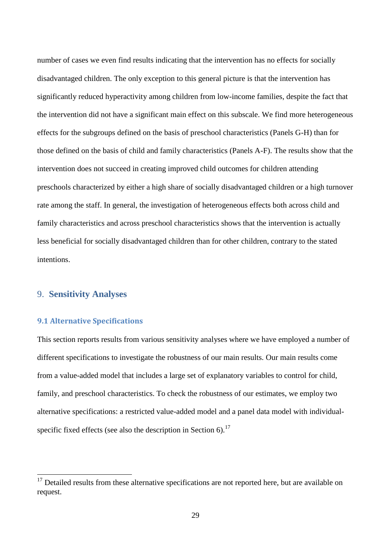number of cases we even find results indicating that the intervention has no effects for socially disadvantaged children. The only exception to this general picture is that the intervention has significantly reduced hyperactivity among children from low-income families, despite the fact that the intervention did not have a significant main effect on this subscale. We find more heterogeneous effects for the subgroups defined on the basis of preschool characteristics (Panels G-H) than for those defined on the basis of child and family characteristics (Panels A-F). The results show that the intervention does not succeed in creating improved child outcomes for children attending preschools characterized by either a high share of socially disadvantaged children or a high turnover rate among the staff. In general, the investigation of heterogeneous effects both across child and family characteristics and across preschool characteristics shows that the intervention is actually less beneficial for socially disadvantaged children than for other children, contrary to the stated intentions.

#### 9. **Sensitivity Analyses**

1

#### **9.1 Alternative Specifications**

This section reports results from various sensitivity analyses where we have employed a number of different specifications to investigate the robustness of our main results. Our main results come from a value-added model that includes a large set of explanatory variables to control for child, family, and preschool characteristics. To check the robustness of our estimates, we employ two alternative specifications: a restricted value-added model and a panel data model with individualspecific fixed effects (see also the description in Section 6).<sup>17</sup>

 $17$  Detailed results from these alternative specifications are not reported here, but are available on request.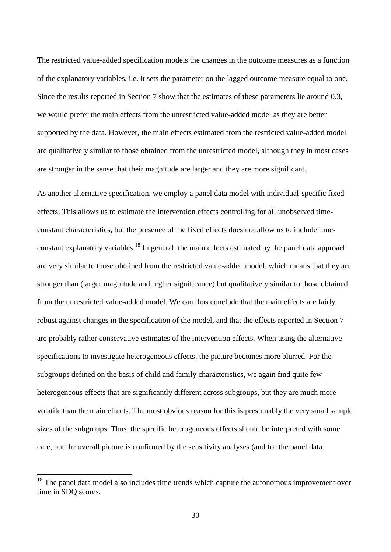The restricted value-added specification models the changes in the outcome measures as a function of the explanatory variables, i.e. it sets the parameter on the lagged outcome measure equal to one. Since the results reported in Section 7 show that the estimates of these parameters lie around 0.3, we would prefer the main effects from the unrestricted value-added model as they are better supported by the data. However, the main effects estimated from the restricted value-added model are qualitatively similar to those obtained from the unrestricted model, although they in most cases are stronger in the sense that their magnitude are larger and they are more significant.

As another alternative specification, we employ a panel data model with individual-specific fixed effects. This allows us to estimate the intervention effects controlling for all unobserved timeconstant characteristics, but the presence of the fixed effects does not allow us to include timeconstant explanatory variables.<sup>18</sup> In general, the main effects estimated by the panel data approach are very similar to those obtained from the restricted value-added model, which means that they are stronger than (larger magnitude and higher significance) but qualitatively similar to those obtained from the unrestricted value-added model. We can thus conclude that the main effects are fairly robust against changes in the specification of the model, and that the effects reported in Section 7 are probably rather conservative estimates of the intervention effects. When using the alternative specifications to investigate heterogeneous effects, the picture becomes more blurred. For the subgroups defined on the basis of child and family characteristics, we again find quite few heterogeneous effects that are significantly different across subgroups, but they are much more volatile than the main effects. The most obvious reason for this is presumably the very small sample sizes of the subgroups. Thus, the specific heterogeneous effects should be interpreted with some care, but the overall picture is confirmed by the sensitivity analyses (and for the panel data

 $18$  The panel data model also includes time trends which capture the autonomous improvement over time in SDQ scores.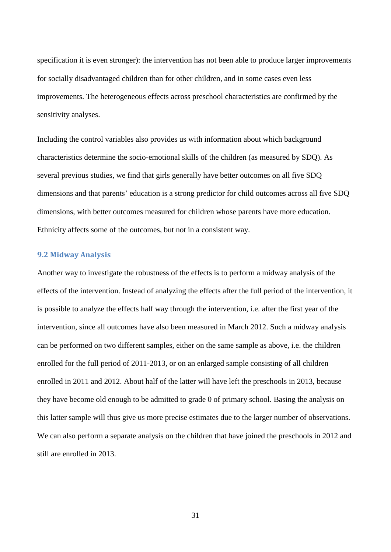specification it is even stronger): the intervention has not been able to produce larger improvements for socially disadvantaged children than for other children, and in some cases even less improvements. The heterogeneous effects across preschool characteristics are confirmed by the sensitivity analyses.

Including the control variables also provides us with information about which background characteristics determine the socio-emotional skills of the children (as measured by SDQ). As several previous studies, we find that girls generally have better outcomes on all five SDQ dimensions and that parents' education is a strong predictor for child outcomes across all five SDQ dimensions, with better outcomes measured for children whose parents have more education. Ethnicity affects some of the outcomes, but not in a consistent way.

#### **9.2 Midway Analysis**

Another way to investigate the robustness of the effects is to perform a midway analysis of the effects of the intervention. Instead of analyzing the effects after the full period of the intervention, it is possible to analyze the effects half way through the intervention, i.e. after the first year of the intervention, since all outcomes have also been measured in March 2012. Such a midway analysis can be performed on two different samples, either on the same sample as above, i.e. the children enrolled for the full period of 2011-2013, or on an enlarged sample consisting of all children enrolled in 2011 and 2012. About half of the latter will have left the preschools in 2013, because they have become old enough to be admitted to grade 0 of primary school. Basing the analysis on this latter sample will thus give us more precise estimates due to the larger number of observations. We can also perform a separate analysis on the children that have joined the preschools in 2012 and still are enrolled in 2013.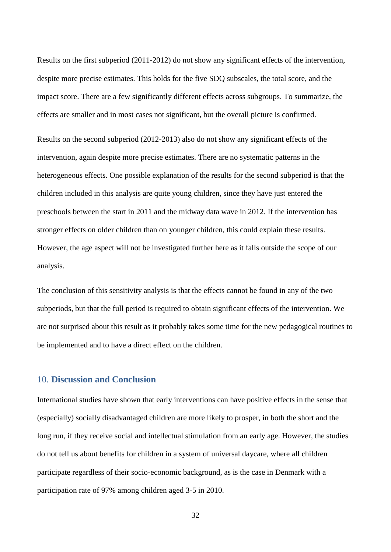Results on the first subperiod (2011-2012) do not show any significant effects of the intervention, despite more precise estimates. This holds for the five SDQ subscales, the total score, and the impact score. There are a few significantly different effects across subgroups. To summarize, the effects are smaller and in most cases not significant, but the overall picture is confirmed.

Results on the second subperiod (2012-2013) also do not show any significant effects of the intervention, again despite more precise estimates. There are no systematic patterns in the heterogeneous effects. One possible explanation of the results for the second subperiod is that the children included in this analysis are quite young children, since they have just entered the preschools between the start in 2011 and the midway data wave in 2012. If the intervention has stronger effects on older children than on younger children, this could explain these results. However, the age aspect will not be investigated further here as it falls outside the scope of our analysis.

The conclusion of this sensitivity analysis is that the effects cannot be found in any of the two subperiods, but that the full period is required to obtain significant effects of the intervention. We are not surprised about this result as it probably takes some time for the new pedagogical routines to be implemented and to have a direct effect on the children.

#### 10. **Discussion and Conclusion**

International studies have shown that early interventions can have positive effects in the sense that (especially) socially disadvantaged children are more likely to prosper, in both the short and the long run, if they receive social and intellectual stimulation from an early age. However, the studies do not tell us about benefits for children in a system of universal daycare, where all children participate regardless of their socio-economic background, as is the case in Denmark with a participation rate of 97% among children aged 3-5 in 2010.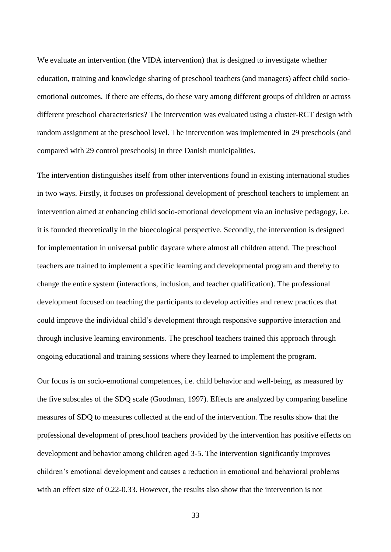We evaluate an intervention (the VIDA intervention) that is designed to investigate whether education, training and knowledge sharing of preschool teachers (and managers) affect child socioemotional outcomes. If there are effects, do these vary among different groups of children or across different preschool characteristics? The intervention was evaluated using a cluster-RCT design with random assignment at the preschool level. The intervention was implemented in 29 preschools (and compared with 29 control preschools) in three Danish municipalities.

The intervention distinguishes itself from other interventions found in existing international studies in two ways. Firstly, it focuses on professional development of preschool teachers to implement an intervention aimed at enhancing child socio-emotional development via an inclusive pedagogy, i.e. it is founded theoretically in the bioecological perspective. Secondly, the intervention is designed for implementation in universal public daycare where almost all children attend. The preschool teachers are trained to implement a specific learning and developmental program and thereby to change the entire system (interactions, inclusion, and teacher qualification). The professional development focused on teaching the participants to develop activities and renew practices that could improve the individual child's development through responsive supportive interaction and through inclusive learning environments. The preschool teachers trained this approach through ongoing educational and training sessions where they learned to implement the program.

Our focus is on socio-emotional competences, i.e. child behavior and well-being, as measured by the five subscales of the SDQ scale (Goodman, 1997). Effects are analyzed by comparing baseline measures of SDQ to measures collected at the end of the intervention. The results show that the professional development of preschool teachers provided by the intervention has positive effects on development and behavior among children aged 3-5. The intervention significantly improves children's emotional development and causes a reduction in emotional and behavioral problems with an effect size of 0.22-0.33. However, the results also show that the intervention is not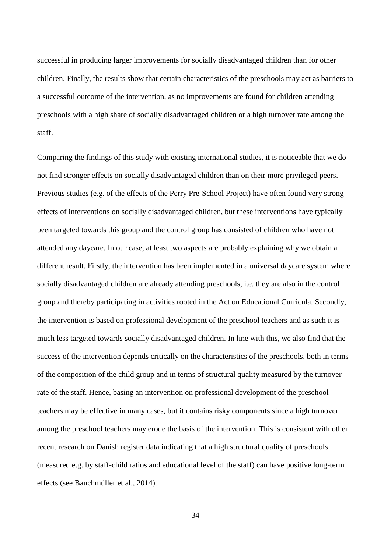successful in producing larger improvements for socially disadvantaged children than for other children. Finally, the results show that certain characteristics of the preschools may act as barriers to a successful outcome of the intervention, as no improvements are found for children attending preschools with a high share of socially disadvantaged children or a high turnover rate among the staff.

Comparing the findings of this study with existing international studies, it is noticeable that we do not find stronger effects on socially disadvantaged children than on their more privileged peers. Previous studies (e.g. of the effects of the Perry Pre-School Project) have often found very strong effects of interventions on socially disadvantaged children, but these interventions have typically been targeted towards this group and the control group has consisted of children who have not attended any daycare. In our case, at least two aspects are probably explaining why we obtain a different result. Firstly, the intervention has been implemented in a universal daycare system where socially disadvantaged children are already attending preschools, i.e. they are also in the control group and thereby participating in activities rooted in the Act on Educational Curricula. Secondly, the intervention is based on professional development of the preschool teachers and as such it is much less targeted towards socially disadvantaged children. In line with this, we also find that the success of the intervention depends critically on the characteristics of the preschools, both in terms of the composition of the child group and in terms of structural quality measured by the turnover rate of the staff. Hence, basing an intervention on professional development of the preschool teachers may be effective in many cases, but it contains risky components since a high turnover among the preschool teachers may erode the basis of the intervention. This is consistent with other recent research on Danish register data indicating that a high structural quality of preschools (measured e.g. by staff-child ratios and educational level of the staff) can have positive long-term effects (see Bauchmüller et al., 2014).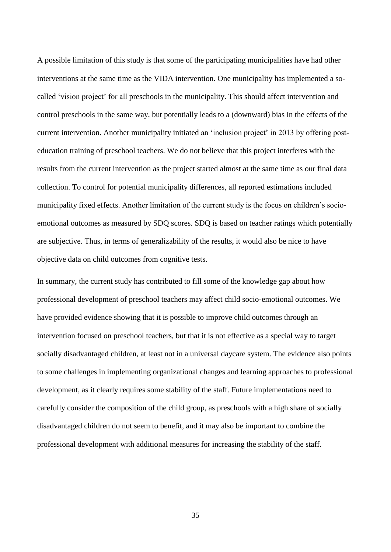A possible limitation of this study is that some of the participating municipalities have had other interventions at the same time as the VIDA intervention. One municipality has implemented a socalled 'vision project' for all preschools in the municipality. This should affect intervention and control preschools in the same way, but potentially leads to a (downward) bias in the effects of the current intervention. Another municipality initiated an 'inclusion project' in 2013 by offering posteducation training of preschool teachers. We do not believe that this project interferes with the results from the current intervention as the project started almost at the same time as our final data collection. To control for potential municipality differences, all reported estimations included municipality fixed effects. Another limitation of the current study is the focus on children's socioemotional outcomes as measured by SDQ scores. SDQ is based on teacher ratings which potentially are subjective. Thus, in terms of generalizability of the results, it would also be nice to have objective data on child outcomes from cognitive tests.

In summary, the current study has contributed to fill some of the knowledge gap about how professional development of preschool teachers may affect child socio-emotional outcomes. We have provided evidence showing that it is possible to improve child outcomes through an intervention focused on preschool teachers, but that it is not effective as a special way to target socially disadvantaged children, at least not in a universal daycare system. The evidence also points to some challenges in implementing organizational changes and learning approaches to professional development, as it clearly requires some stability of the staff. Future implementations need to carefully consider the composition of the child group, as preschools with a high share of socially disadvantaged children do not seem to benefit, and it may also be important to combine the professional development with additional measures for increasing the stability of the staff.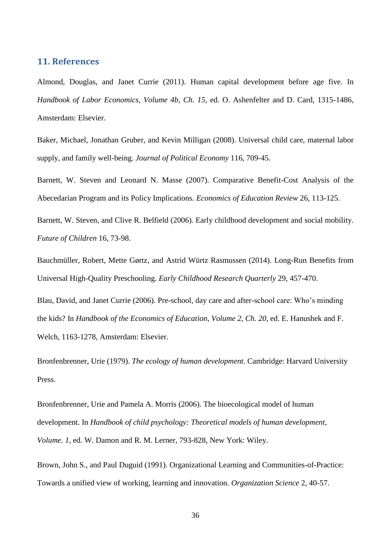#### **11. References**

Almond, Douglas, and Janet Currie (2011). Human capital development before age five. In *Handbook of Labor Economics, Volume 4b, Ch. 15*, ed. O. Ashenfelter and D. Card, 1315-1486, Amsterdam: Elsevier.

Baker, Michael, Jonathan Gruber, and Kevin Milligan (2008). Universal child care, maternal labor supply, and family well-being. *Journal of Political Economy* 116, 709-45.

Barnett, W. Steven and Leonard N. Masse (2007). Comparative Benefit-Cost Analysis of the Abecedarian Program and its Policy Implications. *Economics of Education Review* 26, 113-125.

Barnett, W. Steven, and Clive R. Belfield (2006). Early childhood development and social mobility. *Future of Children* 16, 73-98.

Bauchmüller, Robert, Mette Gørtz, and Astrid Würtz Rasmussen (2014). Long-Run Benefits from Universal High-Quality Preschooling. *Early Childhood Research Quarterly* 29, 457-470.

Blau, David, and Janet Currie (2006). Pre-school, day care and after-school care: Who's minding the kids? In *Handbook of the Economics of Education, Volume 2, Ch. 20*, ed. E. Hanushek and F. Welch, 1163-1278, Amsterdam: Elsevier.

Bronfenbrenner, Urie (1979). *The ecology of human development*. Cambridge: Harvard University Press.

Bronfenbrenner, Urie and Pamela A. Morris (2006). The bioecological model of human development. In *Handbook of child psychology: Theoretical models of human development, Volume. 1*, ed. W. Damon and R. M. Lerner, 793-828, New York: Wiley.

Brown, John S., and Paul Duguid (1991). Organizational Learning and Communities-of-Practice: Towards a unified view of working, learning and innovation. *Organization Science* 2, 40-57.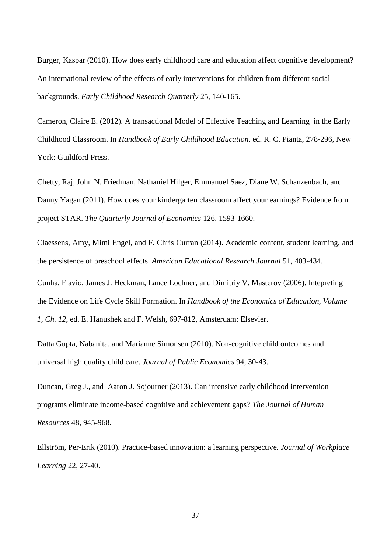Burger, Kaspar (2010). How does early childhood care and education affect cognitive development? An international review of the effects of early interventions for children from different social backgrounds. *Early Childhood Research Quarterly* 25, 140-165.

Cameron, Claire E. (2012). A transactional Model of Effective Teaching and Learning in the Early Childhood Classroom. In *Handbook of Early Childhood Education*. ed. R. C. Pianta, 278-296, New York: Guildford Press.

Chetty, Raj, John N. Friedman, Nathaniel Hilger, Emmanuel Saez, Diane W. Schanzenbach, and Danny Yagan (2011). How does your kindergarten classroom affect your earnings? Evidence from project STAR. *The Quarterly Journal of Economics* 126, 1593-1660.

Claessens, Amy, Mimi Engel, and F. Chris Curran (2014). Academic content, student learning, and the persistence of preschool effects. *American Educational Research Journal* 51, 403-434.

Cunha, Flavio, James J. Heckman, Lance Lochner, and Dimitriy V. Masterov (2006). Intepreting the Evidence on Life Cycle Skill Formation. In *Handbook of the Economics of Education, Volume 1, Ch. 12*, ed. E. Hanushek and F. Welsh, 697-812, Amsterdam: Elsevier.

Datta Gupta, Nabanita, and Marianne Simonsen (2010). Non-cognitive child outcomes and universal high quality child care. *Journal of Public Economics* 94, 30-43.

Duncan, Greg J., and Aaron J. Sojourner (2013). Can intensive early childhood intervention programs eliminate income-based cognitive and achievement gaps? *The Journal of Human Resources* 48, 945-968.

Ellström, Per-Erik (2010). Practice-based innovation: a learning perspective. *Journal of Workplace Learning* 22, 27-40.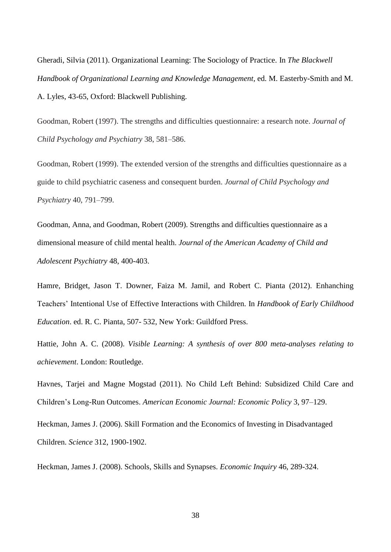Gheradi, Silvia (2011). Organizational Learning: The Sociology of Practice. In *The Blackwell Handbook of Organizational Learning and Knowledge Management,* ed. M. Easterby-Smith and M. A. Lyles, 43-65, Oxford: Blackwell Publishing.

Goodman, Robert (1997). The strengths and difficulties questionnaire: a research note. *Journal of Child Psychology and Psychiatry* 38, 581–586.

Goodman, Robert (1999). The extended version of the strengths and difficulties questionnaire as a guide to child psychiatric caseness and consequent burden. *Journal of Child Psychology and Psychiatry* 40, 791–799.

Goodman, Anna, and Goodman, Robert (2009). Strengths and difficulties questionnaire as a dimensional measure of child mental health. *Journal of the American Academy of Child and Adolescent Psychiatry* 48, 400-403.

Hamre, Bridget, Jason T. Downer, Faiza M. Jamil, and Robert C. Pianta (2012). Enhanching Teachers' Intentional Use of Effective Interactions with Children. In *Handbook of Early Childhood Education*. ed. R. C. Pianta, 507- 532, New York: Guildford Press.

Hattie, John A. C. (2008). *Visible Learning: A synthesis of over 800 meta-analyses relating to achievement*. London: Routledge.

Havnes, Tarjei and Magne Mogstad (2011). No Child Left Behind: Subsidized Child Care and Children's Long-Run Outcomes. *American Economic Journal: Economic Policy* 3, 97–129.

Heckman, James J. (2006). Skill Formation and the Economics of Investing in Disadvantaged Children. *Science* 312, 1900-1902.

Heckman, James J. (2008). Schools, Skills and Synapses. *Economic Inquiry* 46, 289-324.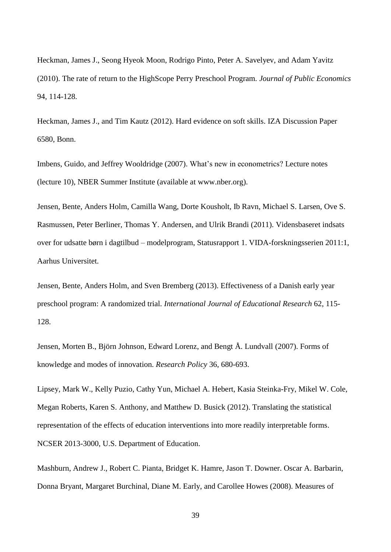Heckman, James J., Seong Hyeok Moon, Rodrigo Pinto, Peter A. Savelyev, and Adam Yavitz (2010). The rate of return to the HighScope Perry Preschool Program. *Journal of Public Economics* 94, 114-128.

Heckman, James J., and Tim Kautz (2012). Hard evidence on soft skills. IZA Discussion Paper 6580, Bonn.

Imbens, Guido, and Jeffrey Wooldridge (2007). What's new in econometrics? Lecture notes (lecture 10), NBER Summer Institute (available at www.nber.org).

Jensen, Bente, Anders Holm, Camilla Wang, Dorte Kousholt, Ib Ravn, Michael S. Larsen, Ove S. Rasmussen, Peter Berliner, Thomas Y. Andersen, and Ulrik Brandi (2011). Vidensbaseret indsats over for udsatte børn i dagtilbud – modelprogram, Statusrapport 1. VIDA-forskningsserien 2011:1, Aarhus Universitet.

Jensen, Bente, Anders Holm, and Sven Bremberg (2013). Effectiveness of a Danish early year preschool program: A randomized trial. *International Journal of Educational Research* 62, 115- 128.

Jensen, Morten B., Björn Johnson, Edward Lorenz, and Bengt Å. Lundvall (2007). Forms of knowledge and modes of innovation. *Research Policy* 36, 680-693.

Lipsey, Mark W., Kelly Puzio, Cathy Yun, Michael A. Hebert, Kasia Steinka-Fry, Mikel W. Cole, Megan Roberts, Karen S. Anthony, and Matthew D. Busick (2012). Translating the statistical representation of the effects of education interventions into more readily interpretable forms. NCSER 2013-3000, U.S. Department of Education.

Mashburn, Andrew J., Robert C. Pianta, Bridget K. Hamre, Jason T. Downer. Oscar A. Barbarin, Donna Bryant, Margaret Burchinal, Diane M. Early, and Carollee Howes (2008). Measures of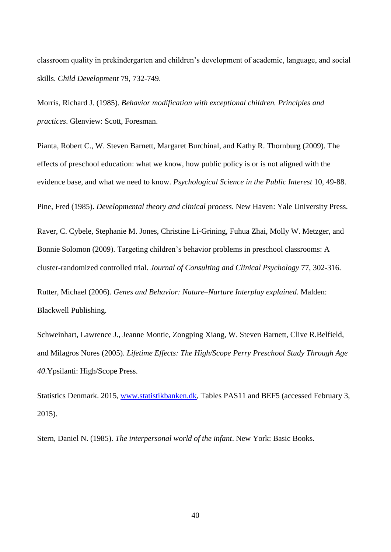classroom quality in prekindergarten and children's development of academic, language, and social skills. *Child Development* 79, 732-749.

Morris, Richard J. (1985). *Behavior modification with exceptional children. Principles and practices*. Glenview: Scott, Foresman.

Pianta, Robert C., W. Steven Barnett, Margaret Burchinal, and Kathy R. Thornburg (2009). The effects of preschool education: what we know, how public policy is or is not aligned with the evidence base, and what we need to know. *Psychological Science in the Public Interest* 10, 49-88.

Pine, Fred (1985). *Developmental theory and clinical process*. New Haven: Yale University Press.

Raver, C. Cybele, Stephanie M. Jones, Christine Li-Grining, Fuhua Zhai, Molly W. Metzger, and Bonnie Solomon (2009). Targeting children's behavior problems in preschool classrooms: A cluster-randomized controlled trial. *Journal of Consulting and Clinical Psychology* 77, 302-316.

Rutter, Michael (2006). *Genes and Behavior: Nature–Nurture Interplay explained*. Malden: Blackwell Publishing.

Schweinhart, Lawrence J., Jeanne Montie, Zongping Xiang, W. Steven Barnett, Clive R.Belfield, and Milagros Nores (2005). *Lifetime Effects: The High/Scope Perry Preschool Study Through Age 40*.Ypsilanti: High/Scope Press.

Statistics Denmark. 2015, [www.statistikbanken.dk,](http://www.statistikbanken.dk/) Tables PAS11 and BEF5 (accessed February 3, 2015).

Stern, Daniel N. (1985). *The interpersonal world of the infant*. New York: Basic Books.